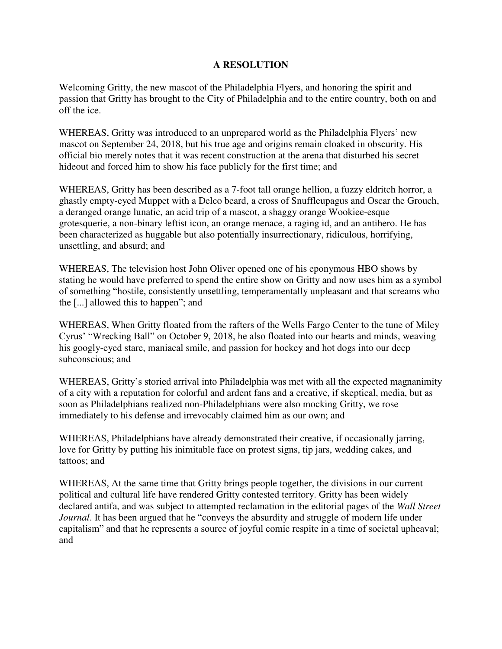## **A RESOLUTION**

Welcoming Gritty, the new mascot of the Philadelphia Flyers, and honoring the spirit and passion that Gritty has brought to the City of Philadelphia and to the entire country, both on and off the ice.

WHEREAS, Gritty was introduced to an unprepared world as the Philadelphia Flyers' new mascot on September 24, 2018, but his true age and origins remain cloaked in obscurity. His official bio merely notes that it was recent construction at the arena that disturbed his secret hideout and forced him to show his face publicly for the first time; and

WHEREAS, Gritty has been described as a 7-foot tall orange hellion, a fuzzy eldritch horror, a ghastly empty-eyed Muppet with a Delco beard, a cross of Snuffleupagus and Oscar the Grouch, a deranged orange lunatic, an acid trip of a mascot, a shaggy orange Wookiee-esque grotesquerie, a non-binary leftist icon, an orange menace, a raging id, and an antihero. He has been characterized as huggable but also potentially insurrectionary, ridiculous, horrifying, unsettling, and absurd; and

WHEREAS, The television host John Oliver opened one of his eponymous HBO shows by stating he would have preferred to spend the entire show on Gritty and now uses him as a symbol of something "hostile, consistently unsettling, temperamentally unpleasant and that screams who the [...] allowed this to happen"; and

WHEREAS, When Gritty floated from the rafters of the Wells Fargo Center to the tune of Miley Cyrus' "Wrecking Ball" on October 9, 2018, he also floated into our hearts and minds, weaving his googly-eyed stare, maniacal smile, and passion for hockey and hot dogs into our deep subconscious; and

WHEREAS, Gritty's storied arrival into Philadelphia was met with all the expected magnanimity of a city with a reputation for colorful and ardent fans and a creative, if skeptical, media, but as soon as Philadelphians realized non-Philadelphians were also mocking Gritty, we rose immediately to his defense and irrevocably claimed him as our own; and

WHEREAS, Philadelphians have already demonstrated their creative, if occasionally jarring, love for Gritty by putting his inimitable face on protest signs, tip jars, wedding cakes, and tattoos; and

WHEREAS, At the same time that Gritty brings people together, the divisions in our current political and cultural life have rendered Gritty contested territory. Gritty has been widely declared antifa, and was subject to attempted reclamation in the editorial pages of the *Wall Street Journal*. It has been argued that he "conveys the absurdity and struggle of modern life under capitalism" and that he represents a source of joyful comic respite in a time of societal upheaval; and